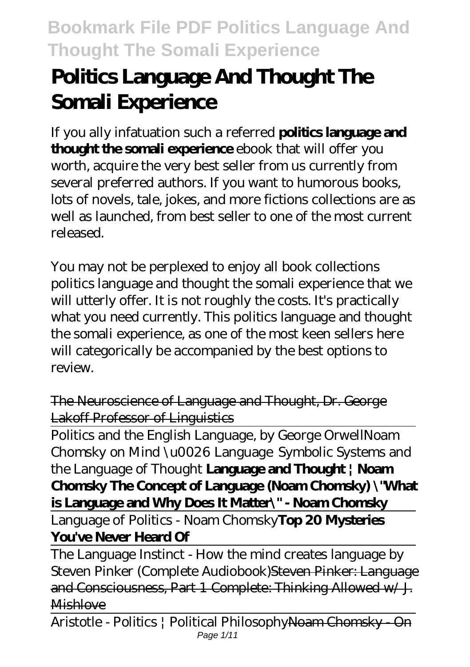# **Politics Language And Thought The Somali Experience**

If you ally infatuation such a referred **politics language and thought the somali experience** ebook that will offer you worth, acquire the very best seller from us currently from several preferred authors. If you want to humorous books, lots of novels, tale, jokes, and more fictions collections are as well as launched, from best seller to one of the most current released.

You may not be perplexed to enjoy all book collections politics language and thought the somali experience that we will utterly offer. It is not roughly the costs. It's practically what you need currently. This politics language and thought the somali experience, as one of the most keen sellers here will categorically be accompanied by the best options to review.

The Neuroscience of Language and Thought, Dr. George Lakoff Professor of Linguistics

Politics and the English Language, by George Orwell*Noam Chomsky on Mind \u0026 Language Symbolic Systems and the Language of Thought* **Language and Thought | Noam Chomsky The Concept of Language (Noam Chomsky) \"What is Language and Why Does It Matter\" - Noam Chomsky**

Language of Politics - Noam Chomsky**Top 20 Mysteries You've Never Heard Of**

The Language Instinct - How the mind creates language by Steven Pinker (Complete Audiobook)Steven Pinker: Language and Consciousness, Part 1 Complete: Thinking Allowed w/ J. **Mishlove** 

Aristotle - Politics | Political PhilosophyNoam Chomsky - On Page 1/11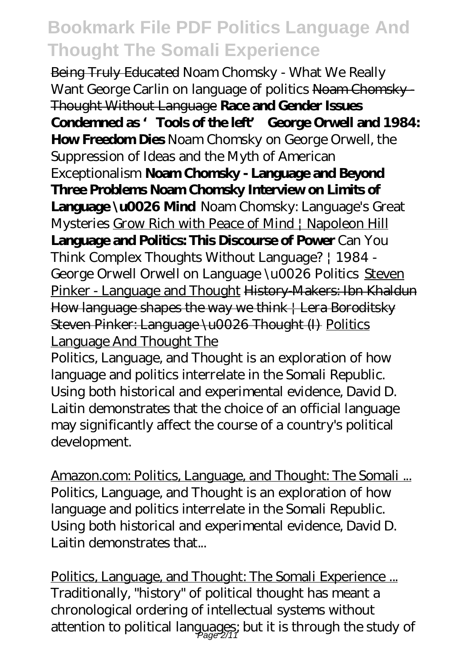Being Truly Educated Noam Chomsky - What We Really Want George Carlin on language of politics Noam Chomsky Thought Without Language **Race and Gender Issues Condemned as 'Tools of the left' George Orwell and 1984: How Freedom Dies** Noam Chomsky on George Orwell, the Suppression of Ideas and the Myth of American Exceptionalism **Noam Chomsky - Language and Beyond Three Problems Noam Chomsky Interview on Limits of Language \u0026 Mind** *Noam Chomsky: Language's Great Mysteries* Grow Rich with Peace of Mind | Napoleon Hill **Language and Politics: This Discourse of Power** Can You Think Complex Thoughts Without Language? | 1984 - George Orwell *Orwell on Language \u0026 Politics* Steven Pinker - Language and Thought History-Makers: Ibn Khaldun How language shapes the way we think | Lera Boroditsky Steven Pinker: Language \u0026 Thought (I) Politics Language And Thought The Politics, Language, and Thought is an exploration of how

language and politics interrelate in the Somali Republic. Using both historical and experimental evidence, David D. Laitin demonstrates that the choice of an official language may significantly affect the course of a country's political development.

Amazon.com: Politics, Language, and Thought: The Somali ... Politics, Language, and Thought is an exploration of how language and politics interrelate in the Somali Republic. Using both historical and experimental evidence, David D. Laitin demonstrates that...

Politics, Language, and Thought: The Somali Experience ... Traditionally, "history" of political thought has meant a chronological ordering of intellectual systems without attention to political languages; but it is through the study of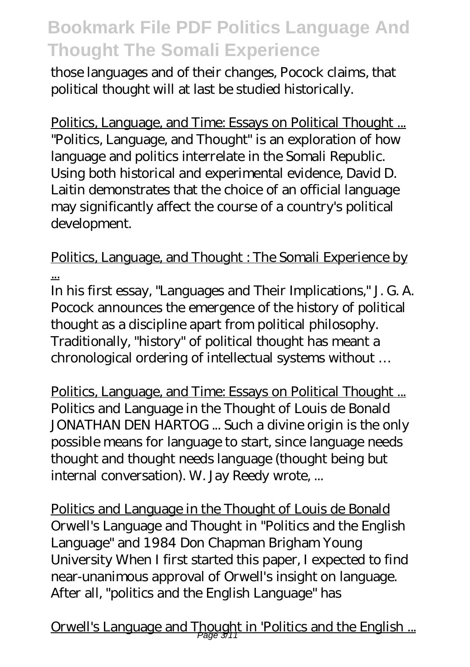those languages and of their changes, Pocock claims, that political thought will at last be studied historically.

Politics, Language, and Time: Essays on Political Thought ... "Politics, Language, and Thought" is an exploration of how language and politics interrelate in the Somali Republic. Using both historical and experimental evidence, David D. Laitin demonstrates that the choice of an official language may significantly affect the course of a country's political development.

Politics, Language, and Thought : The Somali Experience by ...

In his first essay, "Languages and Their Implications," J. G. A. Pocock announces the emergence of the history of political thought as a discipline apart from political philosophy. Traditionally, "history" of political thought has meant a chronological ordering of intellectual systems without …

Politics, Language, and Time: Essays on Political Thought ... Politics and Language in the Thought of Louis de Bonald JONATHAN DEN HARTOG ... Such a divine origin is the only possible means for language to start, since language needs thought and thought needs language (thought being but internal conversation). W. Jay Reedy wrote, ...

Politics and Language in the Thought of Louis de Bonald Orwell's Language and Thought in "Politics and the English Language" and 1984 Don Chapman Brigham Young University When I first started this paper, I expected to find near-unanimous approval of Orwell's insight on language. After all, "politics and the English Language" has

Orwell's Language and Thought in 'Politics and the English ...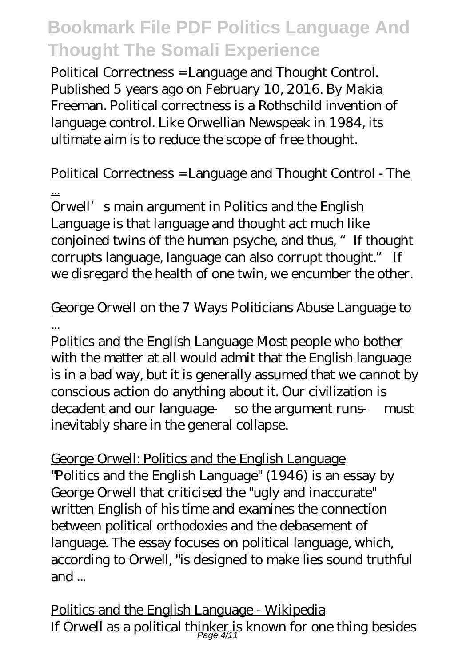Political Correctness = Language and Thought Control. Published 5 years ago on February 10, 2016. By Makia Freeman. Political correctness is a Rothschild invention of language control. Like Orwellian Newspeak in 1984, its ultimate aim is to reduce the scope of free thought.

### Political Correctness = Language and Thought Control - The ...

Orwell's main argument in Politics and the English Language is that language and thought act much like conjoined twins of the human psyche, and thus, "If thought corrupts language, language can also corrupt thought." If we disregard the health of one twin, we encumber the other.

### George Orwell on the 7 Ways Politicians Abuse Language to ...

Politics and the English Language Most people who bother with the matter at all would admit that the English language is in a bad way, but it is generally assumed that we cannot by conscious action do anything about it. Our civilization is decadent and our language — so the argument runs — must inevitably share in the general collapse.

George Orwell: Politics and the English Language "Politics and the English Language" (1946) is an essay by George Orwell that criticised the "ugly and inaccurate" written English of his time and examines the connection between political orthodoxies and the debasement of language. The essay focuses on political language, which, according to Orwell, "is designed to make lies sound truthful and ...

Politics and the English Language - Wikipedia If Orwell as a political thinker is known for one thing besides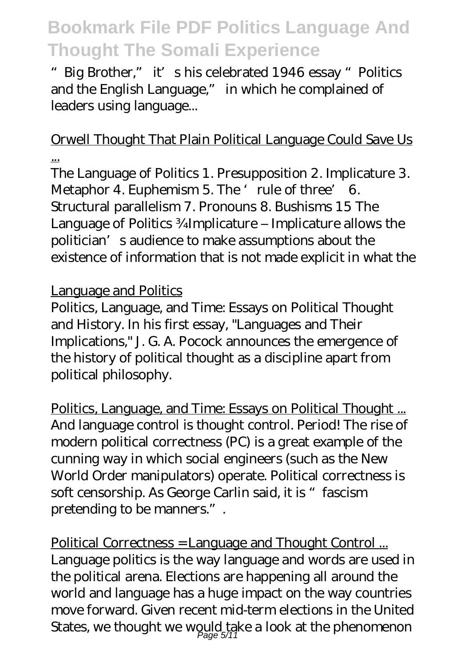"Big Brother," it's his celebrated 1946 essay "Politics and the English Language," in which he complained of leaders using language...

#### Orwell Thought That Plain Political Language Could Save Us ...

The Language of Politics 1. Presupposition 2. Implicature 3. Metaphor 4. Euphemism 5. The 'rule of three' 6. Structural parallelism 7. Pronouns 8. Bushisms 15 The Language of Politics ¾Implicature – Implicature allows the politician's audience to make assumptions about the existence of information that is not made explicit in what the

#### Language and Politics

Politics, Language, and Time: Essays on Political Thought and History. In his first essay, "Languages and Their Implications," J. G. A. Pocock announces the emergence of the history of political thought as a discipline apart from political philosophy.

Politics, Language, and Time: Essays on Political Thought ... And language control is thought control. Period! The rise of modern political correctness (PC) is a great example of the cunning way in which social engineers (such as the New World Order manipulators) operate. Political correctness is soft censorship. As George Carlin said, it is "fascism pretending to be manners.".

Political Correctness = Language and Thought Control ... Language politics is the way language and words are used in the political arena. Elections are happening all around the world and language has a huge impact on the way countries move forward. Given recent mid-term elections in the United States, we thought we would take a look at the phenomenon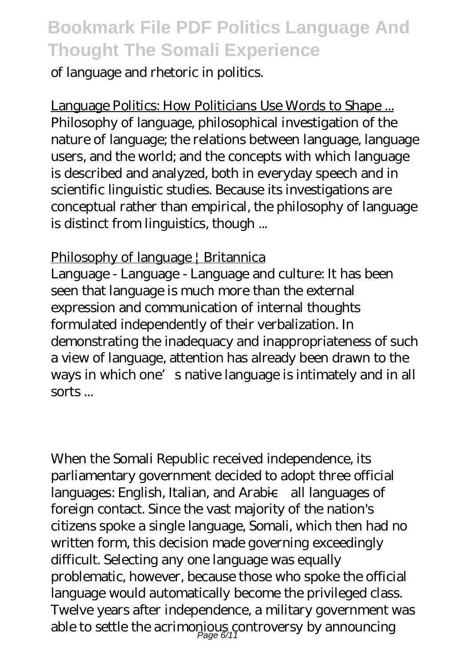of language and rhetoric in politics.

Language Politics: How Politicians Use Words to Shape ... Philosophy of language, philosophical investigation of the nature of language; the relations between language, language users, and the world; and the concepts with which language is described and analyzed, both in everyday speech and in scientific linguistic studies. Because its investigations are conceptual rather than empirical, the philosophy of language is distinct from linguistics, though ...

#### Philosophy of language | Britannica

Language - Language - Language and culture: It has been seen that language is much more than the external expression and communication of internal thoughts formulated independently of their verbalization. In demonstrating the inadequacy and inappropriateness of such a view of language, attention has already been drawn to the ways in which one's native language is intimately and in all sorts ...

When the Somali Republic received independence, its parliamentary government decided to adopt three official languages: English, Italian, and Arabic—all languages of foreign contact. Since the vast majority of the nation's citizens spoke a single language, Somali, which then had no written form, this decision made governing exceedingly difficult. Selecting any one language was equally problematic, however, because those who spoke the official language would automatically become the privileged class. Twelve years after independence, a military government was able to settle the acrimonious controversy by announcing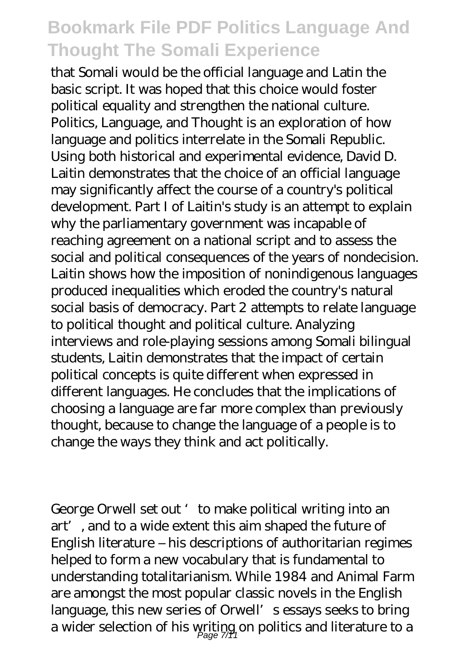that Somali would be the official language and Latin the basic script. It was hoped that this choice would foster political equality and strengthen the national culture. Politics, Language, and Thought is an exploration of how language and politics interrelate in the Somali Republic. Using both historical and experimental evidence, David D. Laitin demonstrates that the choice of an official language may significantly affect the course of a country's political development. Part I of Laitin's study is an attempt to explain why the parliamentary government was incapable of reaching agreement on a national script and to assess the social and political consequences of the years of nondecision. Laitin shows how the imposition of nonindigenous languages produced inequalities which eroded the country's natural social basis of democracy. Part 2 attempts to relate language to political thought and political culture. Analyzing interviews and role-playing sessions among Somali bilingual students, Laitin demonstrates that the impact of certain political concepts is quite different when expressed in different languages. He concludes that the implications of choosing a language are far more complex than previously thought, because to change the language of a people is to change the ways they think and act politically.

George Orwell set out 'to make political writing into an art', and to a wide extent this aim shaped the future of English literature – his descriptions of authoritarian regimes helped to form a new vocabulary that is fundamental to understanding totalitarianism. While 1984 and Animal Farm are amongst the most popular classic novels in the English language, this new series of Orwell's essays seeks to bring a wider selection of his writing on politics and literature to a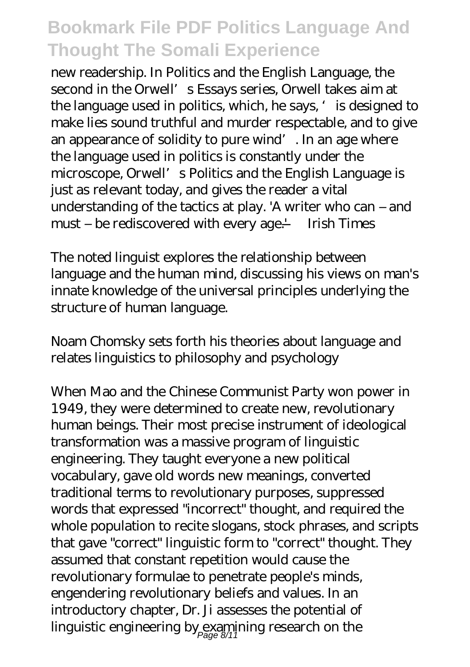new readership. In Politics and the English Language, the second in the Orwell's Essays series, Orwell takes aim at the language used in politics, which, he says, ' is designed to make lies sound truthful and murder respectable, and to give an appearance of solidity to pure wind'. In an age where the language used in politics is constantly under the microscope, Orwell's Politics and the English Language is just as relevant today, and gives the reader a vital understanding of the tactics at play. 'A writer who can – and must – be rediscovered with every age.' — Irish Times

The noted linguist explores the relationship between language and the human mind, discussing his views on man's innate knowledge of the universal principles underlying the structure of human language.

Noam Chomsky sets forth his theories about language and relates linguistics to philosophy and psychology

When Mao and the Chinese Communist Party won power in 1949, they were determined to create new, revolutionary human beings. Their most precise instrument of ideological transformation was a massive program of linguistic engineering. They taught everyone a new political vocabulary, gave old words new meanings, converted traditional terms to revolutionary purposes, suppressed words that expressed "incorrect" thought, and required the whole population to recite slogans, stock phrases, and scripts that gave "correct" linguistic form to "correct" thought. They assumed that constant repetition would cause the revolutionary formulae to penetrate people's minds, engendering revolutionary beliefs and values. In an introductory chapter, Dr. Ji assesses the potential of linguistic engineering by examining research on the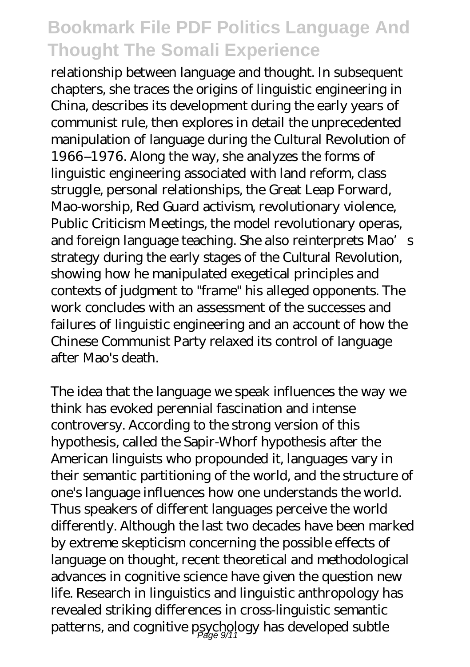relationship between language and thought. In subsequent chapters, she traces the origins of linguistic engineering in China, describes its development during the early years of communist rule, then explores in detail the unprecedented manipulation of language during the Cultural Revolution of 1966–1976. Along the way, she analyzes the forms of linguistic engineering associated with land reform, class struggle, personal relationships, the Great Leap Forward, Mao-worship, Red Guard activism, revolutionary violence, Public Criticism Meetings, the model revolutionary operas, and foreign language teaching. She also reinterprets Mao's strategy during the early stages of the Cultural Revolution, showing how he manipulated exegetical principles and contexts of judgment to "frame" his alleged opponents. The work concludes with an assessment of the successes and failures of linguistic engineering and an account of how the Chinese Communist Party relaxed its control of language after Mao's death.

The idea that the language we speak influences the way we think has evoked perennial fascination and intense controversy. According to the strong version of this hypothesis, called the Sapir-Whorf hypothesis after the American linguists who propounded it, languages vary in their semantic partitioning of the world, and the structure of one's language influences how one understands the world. Thus speakers of different languages perceive the world differently. Although the last two decades have been marked by extreme skepticism concerning the possible effects of language on thought, recent theoretical and methodological advances in cognitive science have given the question new life. Research in linguistics and linguistic anthropology has revealed striking differences in cross-linguistic semantic patterns, and cognitive psychology has developed subtle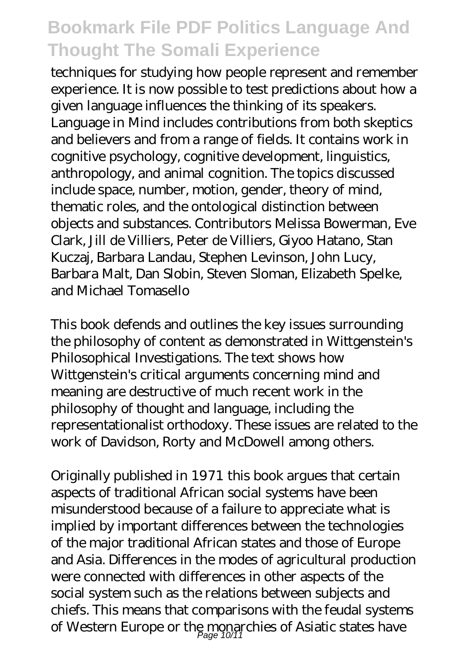techniques for studying how people represent and remember experience. It is now possible to test predictions about how a given language influences the thinking of its speakers. Language in Mind includes contributions from both skeptics and believers and from a range of fields. It contains work in cognitive psychology, cognitive development, linguistics, anthropology, and animal cognition. The topics discussed include space, number, motion, gender, theory of mind, thematic roles, and the ontological distinction between objects and substances. Contributors Melissa Bowerman, Eve Clark, Jill de Villiers, Peter de Villiers, Giyoo Hatano, Stan Kuczaj, Barbara Landau, Stephen Levinson, John Lucy, Barbara Malt, Dan Slobin, Steven Sloman, Elizabeth Spelke, and Michael Tomasello

This book defends and outlines the key issues surrounding the philosophy of content as demonstrated in Wittgenstein's Philosophical Investigations. The text shows how Wittgenstein's critical arguments concerning mind and meaning are destructive of much recent work in the philosophy of thought and language, including the representationalist orthodoxy. These issues are related to the work of Davidson, Rorty and McDowell among others.

Originally published in 1971 this book argues that certain aspects of traditional African social systems have been misunderstood because of a failure to appreciate what is implied by important differences between the technologies of the major traditional African states and those of Europe and Asia. Differences in the modes of agricultural production were connected with differences in other aspects of the social system such as the relations between subjects and chiefs. This means that comparisons with the feudal systems of Western Europe or the monarchies of Asiatic states have